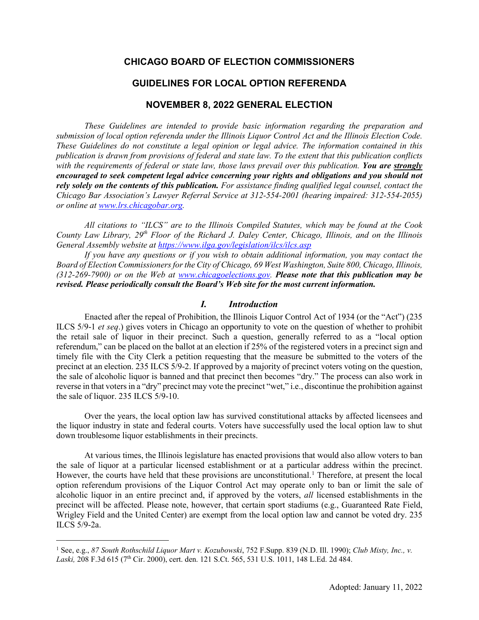# **CHICAGO BOARD OF ELECTION COMMISSIONERS**

# **GUIDELINES FOR LOCAL OPTION REFERENDA**

## **NOVEMBER 8, 2022 GENERAL ELECTION**

*These Guidelines are intended to provide basic information regarding the preparation and submission of local option referenda under the Illinois Liquor Control Act and the Illinois Election Code. These Guidelines do not constitute a legal opinion or legal advice. The information contained in this publication is drawn from provisions of federal and state law. To the extent that this publication conflicts with the requirements of federal or state law, those laws prevail over this publication. You are strongly encouraged to seek competent legal advice concerning your rights and obligations and you should not rely solely on the contents of this publication. For assistance finding qualified legal counsel, contact the Chicago Bar Association's Lawyer Referral Service at 312-554-2001 (hearing impaired: 312-554-2055) or online at www.lrs.chicagobar.org.* 

*All citations to "ILCS" are to the Illinois Compiled Statutes, which may be found at the Cook County Law Library, 29th Floor of the Richard J. Daley Center, Chicago, Illinois, and on the Illinois General Assembly website at https://www.ilga.gov/legislation/ilcs/ilcs.asp*

*If you have any questions or if you wish to obtain additional information, you may contact the Board of Election Commissioners for the City of Chicago, 69 West Washington, Suite 800, Chicago, Illinois, (312-269-7900) or on the Web at www.chicagoelections.gov. Please note that this publication may be revised. Please periodically consult the Board's Web site for the most current information.*

#### *I. Introduction*

Enacted after the repeal of Prohibition, the Illinois Liquor Control Act of 1934 (or the "Act") (235 ILCS 5/9-1 *et seq*.) gives voters in Chicago an opportunity to vote on the question of whether to prohibit the retail sale of liquor in their precinct. Such a question, generally referred to as a "local option referendum," can be placed on the ballot at an election if 25% of the registered voters in a precinct sign and timely file with the City Clerk a petition requesting that the measure be submitted to the voters of the precinct at an election. 235 ILCS 5/9-2. If approved by a majority of precinct voters voting on the question, the sale of alcoholic liquor is banned and that precinct then becomes "dry." The process can also work in reverse in that voters in a "dry" precinct may vote the precinct "wet," i.e., discontinue the prohibition against the sale of liquor. 235 ILCS 5/9-10.

Over the years, the local option law has survived constitutional attacks by affected licensees and the liquor industry in state and federal courts. Voters have successfully used the local option law to shut down troublesome liquor establishments in their precincts.

At various times, the Illinois legislature has enacted provisions that would also allow voters to ban the sale of liquor at a particular licensed establishment or at a particular address within the precinct. However, the courts have held that these provisions are unconstitutional.<sup>1</sup> Therefore, at present the local option referendum provisions of the Liquor Control Act may operate only to ban or limit the sale of alcoholic liquor in an entire precinct and, if approved by the voters, *all* licensed establishments in the precinct will be affected. Please note, however, that certain sport stadiums (e.g., Guaranteed Rate Field, Wrigley Field and the United Center) are exempt from the local option law and cannot be voted dry. 235 ILCS 5/9-2a.

Ĩ. <sup>1</sup> See, e.g., *87 South Rothschild Liquor Mart v. Kozubowski*, 752 F.Supp. 839 (N.D. Ill. 1990); *Club Misty, Inc., v.*  Laski, 208 F.3d 615 (7<sup>th</sup> Cir. 2000), cert. den. 121 S.Ct. 565, 531 U.S. 1011, 148 L.Ed. 2d 484.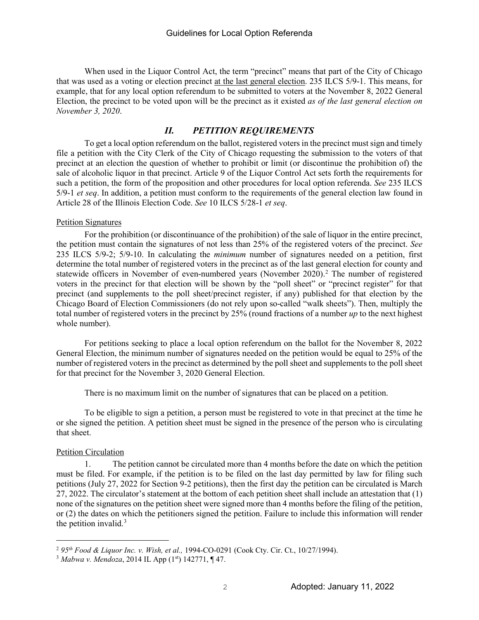When used in the Liquor Control Act, the term "precinct" means that part of the City of Chicago that was used as a voting or election precinct at the last general election. 235 ILCS 5/9-1. This means, for example, that for any local option referendum to be submitted to voters at the November 8, 2022 General Election, the precinct to be voted upon will be the precinct as it existed *as of the last general election on November 3, 2020*.

## *II. PETITION REQUIREMENTS*

To get a local option referendum on the ballot, registered voters in the precinct must sign and timely file a petition with the City Clerk of the City of Chicago requesting the submission to the voters of that precinct at an election the question of whether to prohibit or limit (or discontinue the prohibition of) the sale of alcoholic liquor in that precinct. Article 9 of the Liquor Control Act sets forth the requirements for such a petition, the form of the proposition and other procedures for local option referenda. *See* 235 ILCS 5/9-1 *et seq*. In addition, a petition must conform to the requirements of the general election law found in Article 28 of the Illinois Election Code. *See* 10 ILCS 5/28-1 *et seq*.

#### Petition Signatures

For the prohibition (or discontinuance of the prohibition) of the sale of liquor in the entire precinct, the petition must contain the signatures of not less than 25% of the registered voters of the precinct. *See* 235 ILCS 5/9-2; 5/9-10. In calculating the *minimum* number of signatures needed on a petition, first determine the total number of registered voters in the precinct as of the last general election for county and statewide officers in November of even-numbered years (November 2020).<sup>2</sup> The number of registered voters in the precinct for that election will be shown by the "poll sheet" or "precinct register" for that precinct (and supplements to the poll sheet/precinct register, if any) published for that election by the Chicago Board of Election Commissioners (do not rely upon so-called "walk sheets"). Then, multiply the total number of registered voters in the precinct by 25% (round fractions of a number *up* to the next highest whole number).

For petitions seeking to place a local option referendum on the ballot for the November 8, 2022 General Election, the minimum number of signatures needed on the petition would be equal to 25% of the number of registered voters in the precinct as determined by the poll sheet and supplements to the poll sheet for that precinct for the November 3, 2020 General Election.

There is no maximum limit on the number of signatures that can be placed on a petition.

To be eligible to sign a petition, a person must be registered to vote in that precinct at the time he or she signed the petition. A petition sheet must be signed in the presence of the person who is circulating that sheet.

## Petition Circulation

1. The petition cannot be circulated more than 4 months before the date on which the petition must be filed. For example, if the petition is to be filed on the last day permitted by law for filing such petitions (July 27, 2022 for Section 9-2 petitions), then the first day the petition can be circulated is March 27, 2022. The circulator's statement at the bottom of each petition sheet shall include an attestation that (1) none of the signatures on the petition sheet were signed more than 4 months before the filing of the petition, or (2) the dates on which the petitioners signed the petition. Failure to include this information will render the petition invalid. $3$ 

Ĩ. <sup>2</sup> *95th Food & Liquor Inc. v. Wish, et al.,* 1994-CO-0291 (Cook Cty. Cir. Ct., 10/27/1994).

<sup>3</sup> *Mabwa v. Mendoza*, 2014 IL App (1st) 142771, ¶ 47.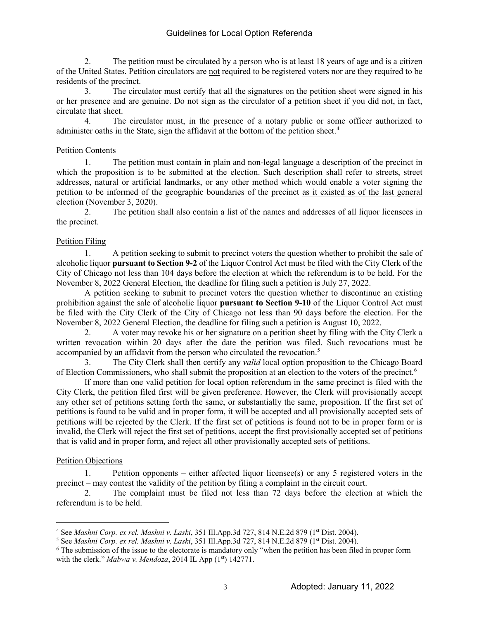2. The petition must be circulated by a person who is at least 18 years of age and is a citizen of the United States. Petition circulators are not required to be registered voters nor are they required to be residents of the precinct.

3. The circulator must certify that all the signatures on the petition sheet were signed in his or her presence and are genuine. Do not sign as the circulator of a petition sheet if you did not, in fact, circulate that sheet.

4. The circulator must, in the presence of a notary public or some officer authorized to administer oaths in the State, sign the affidavit at the bottom of the petition sheet.<sup>4</sup>

### Petition Contents

1. The petition must contain in plain and non-legal language a description of the precinct in which the proposition is to be submitted at the election. Such description shall refer to streets, street addresses, natural or artificial landmarks, or any other method which would enable a voter signing the petition to be informed of the geographic boundaries of the precinct as it existed as of the last general election (November 3, 2020).

2. The petition shall also contain a list of the names and addresses of all liquor licensees in the precinct.

## Petition Filing

1. A petition seeking to submit to precinct voters the question whether to prohibit the sale of alcoholic liquor **pursuant to Section 9-2** of the Liquor Control Act must be filed with the City Clerk of the City of Chicago not less than 104 days before the election at which the referendum is to be held. For the November 8, 2022 General Election, the deadline for filing such a petition is July 27, 2022.

A petition seeking to submit to precinct voters the question whether to discontinue an existing prohibition against the sale of alcoholic liquor **pursuant to Section 9-10** of the Liquor Control Act must be filed with the City Clerk of the City of Chicago not less than 90 days before the election. For the November 8, 2022 General Election, the deadline for filing such a petition is August 10, 2022.

2. A voter may revoke his or her signature on a petition sheet by filing with the City Clerk a written revocation within 20 days after the date the petition was filed. Such revocations must be accompanied by an affidavit from the person who circulated the revocation.<sup>5</sup>

3. The City Clerk shall then certify any *valid* local option proposition to the Chicago Board of Election Commissioners, who shall submit the proposition at an election to the voters of the precinct.6

If more than one valid petition for local option referendum in the same precinct is filed with the City Clerk, the petition filed first will be given preference. However, the Clerk will provisionally accept any other set of petitions setting forth the same, or substantially the same, proposition. If the first set of petitions is found to be valid and in proper form, it will be accepted and all provisionally accepted sets of petitions will be rejected by the Clerk. If the first set of petitions is found not to be in proper form or is invalid, the Clerk will reject the first set of petitions, accept the first provisionally accepted set of petitions that is valid and in proper form, and reject all other provisionally accepted sets of petitions.

#### Petition Objections

1. Petition opponents – either affected liquor licensee(s) or any 5 registered voters in the precinct – may contest the validity of the petition by filing a complaint in the circuit court.

2. The complaint must be filed not less than 72 days before the election at which the referendum is to be held.

Ĩ. <sup>4</sup> See *Mashni Corp. ex rel. Mashni v. Laski*, 351 Ill.App.3d 727, 814 N.E.2d 879 (1<sup>st</sup> Dist. 2004).

<sup>5</sup> See *Mashni Corp. ex rel. Mashni v. Laski*, 351 Ill.App.3d 727, 814 N.E.2d 879 (1st Dist. 2004).

<sup>&</sup>lt;sup>6</sup> The submission of the issue to the electorate is mandatory only "when the petition has been filed in proper form with the clerk." *Mabwa v. Mendoza*, 2014 IL App (1<sup>st</sup>) 142771.